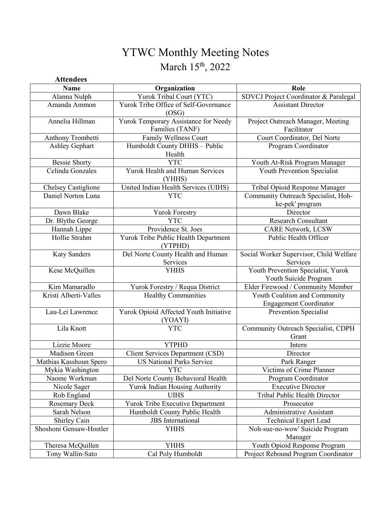# YTWC Monthly Meeting Notes March 15<sup>th</sup>, 2022

| <b>Attendees</b>        |                                                         |                                                                |
|-------------------------|---------------------------------------------------------|----------------------------------------------------------------|
| <b>Name</b>             | Organization                                            | Role                                                           |
| Alanna Nulph            | Yurok Tribal Court (YTC)                                | SDVCJ Project Coordinator & Paralegal                          |
| Amanda Ammon            | Yurok Tribe Office of Self-Governance<br>(OSG)          | <b>Assistant Director</b>                                      |
| Annelia Hillman         | Yurok Temporary Assistance for Needy<br>Families (TANF) | Project Outreach Manager, Meeting<br>Facilitator               |
| Anthony Trombetti       | Family Wellness Court                                   | Court Coordinator, Del Norte                                   |
| Ashley Gephart          | Humboldt County DHHS - Public<br>Health                 | Program Coordinator                                            |
| <b>Bessie Shorty</b>    | <b>YTC</b>                                              | Youth At-Risk Program Manager                                  |
| Celinda Gonzales        | Yurok Health and Human Services<br>(YHHS)               | Youth Prevention Specialist                                    |
| Chelsey Castiglione     | United Indian Health Services (UIHS)                    | Tribal Opioid Response Manager                                 |
| Daniel Norton Luna      | <b>YTC</b>                                              | Community Outreach Specialist, Hoh-<br>ke-pek' program         |
| Dawn Blake              | <b>Yurok Forestry</b>                                   | Director                                                       |
| Dr. Blythe George       | <b>YTC</b>                                              | <b>Research Consultant</b>                                     |
| Hannah Lippe            | Providence St. Joes                                     | <b>CARE Network, LCSW</b>                                      |
| Hollie Strahm           | Yurok Tribe Public Health Department<br>(YTPHD)         | Public Health Officer                                          |
| <b>Katy Sanders</b>     | Del Norte County Health and Human<br>Services           | Social Worker Supervisor, Child Welfare<br>Services            |
| Kese McQuillen          | <b>YHHS</b>                                             | Youth Prevention Specialist, Yurok<br>Youth Suicide Program    |
| Kim Mamaradlo           | Yurok Forestry / Requa District                         | Elder Firewood / Community Member                              |
| Kristi Alberti-Valles   | <b>Healthy Communities</b>                              | Youth Coalition and Community<br><b>Engagement Coordinator</b> |
| Lau-Lei Lawrence        | Yurok Opioid Affected Youth Initiative<br>(YOAYI)       | Prevention Specialist                                          |
| Lila Knott              | <b>YTC</b>                                              | Community Outreach Specialist, CDPH<br>Grant                   |
| Lizzie Moore            | <b>YTPHD</b>                                            | Intern                                                         |
| Madison Green           | Client Services Department (CSD)                        | Director                                                       |
| Mathias Kasshoun Spero  | <b>US National Parks Service</b>                        | Park Ranger                                                    |
| Mykia Washington        | <b>YTC</b>                                              | Victims of Crime Planner                                       |
| Naome Workman           | Del Norte County Behavioral Health                      | Program Coordinator                                            |
| Nicole Sager            | Yurok Indian Housing Authority                          | <b>Executive Director</b>                                      |
| Rob England             | <b>UIHS</b>                                             | Tribal Public Health Director                                  |
| <b>Rosemary Deck</b>    | Yurok Tribe Executive Department                        | Prosecutor                                                     |
| Sarah Nelson            | Humboldt County Public Health                           | Administrative Assistant                                       |
| Shirley Cain            | JBS International                                       | <b>Technical Expert Lead</b>                                   |
| Shoshoni Gensaw-Hostler | <b>YHHS</b>                                             | Noh-sue-no-wow' Suicide Program<br>Manager                     |
| Theresa McQuillen       | <b>YHHS</b>                                             | Youth Opioid Response Program                                  |
| Tony Wallin-Sato        | Cal Poly Humboldt                                       | Project Rebound Program Coordinator                            |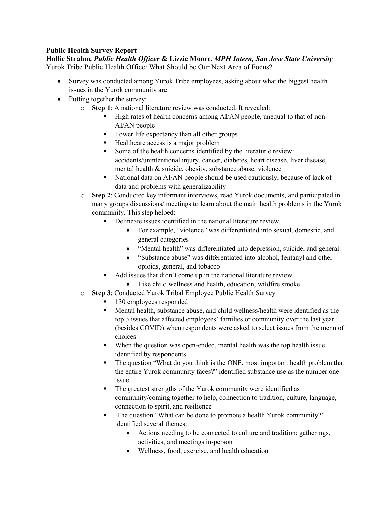# **Public Health Survey Report**

**Hollie Strahm***, Public Health Officer* **& Lizzie Moore,** *MPH Intern, San Jose State University* Yurok Tribe Public Health Office: What Should be Our Next Area of Focus?

- Survey was conducted among Yurok Tribe employees, asking about what the biggest health issues in the Yurok community are
- Putting together the survey:
	- o **Step 1**: A national literature review was conducted. It revealed:
		- High rates of health concerns among AI/AN people, unequal to that of non-AI/AN people
		- Lower life expectancy than all other groups
		- Healthcare access is a major problem
		- Some of the health concerns identified by the literatur e review: accidents/unintentional injury, cancer, diabetes, heart disease, liver disease, mental health & suicide, obesity, substance abuse, violence
		- National data on AI/AN people should be used cautiously, because of lack of data and problems with generalizability
	- o **Step 2**: Conducted key informant interviews, read Yurok documents, and participated in many groups discussions/ meetings to learn about the main health problems in the Yurok community. This step helped:
		- Delineate issues identified in the national literature review.
			- For example, "violence" was differentiated into sexual, domestic, and general categories
			- "Mental health" was differentiated into depression, suicide, and general
			- "Substance abuse" was differentiated into alcohol, fentanyl and other opioids, general, and tobacco
		- Add issues that didn't come up in the national literature review
			- Like child wellness and health, education, wildfire smoke
	- o **Step 3**: Conducted Yurok Tribal Employee Public Health Survey
		- 130 employees responded
		- Mental health, substance abuse, and child wellness/health were identified as the top 3 issues that affected employees' families or community over the last year (besides COVID) when respondents were asked to select issues from the menu of choices
		- When the question was open-ended, mental health was the top health issue identified by respondents
		- The question "What do you think is the ONE, most important health problem that the entire Yurok community faces?" identified substance use as the number one issue
		- The greatest strengths of the Yurok community were identified as community/coming together to help, connection to tradition, culture, language, connection to spirit, and resilience
		- The question "What can be done to promote a health Yurok community?" identified several themes:
			- Actions needing to be connected to culture and tradition; gatherings, activities, and meetings in-person
			- Wellness, food, exercise, and health education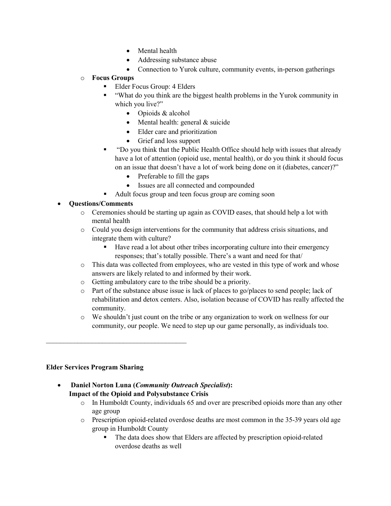- Mental health
- Addressing substance abuse
- Connection to Yurok culture, community events, in-person gatherings

#### o **Focus Groups**

- Elder Focus Group: 4 Elders
- "What do you think are the biggest health problems in the Yurok community in which you live?"
	- Opioids & alcohol
	- Mental health: general & suicide
	- Elder care and prioritization
	- Grief and loss support
- "Do you think that the Public Health Office should help with issues that already have a lot of attention (opioid use, mental health), or do you think it should focus on an issue that doesn't have a lot of work being done on it (diabetes, cancer)?"
	- Preferable to fill the gaps
	- Issues are all connected and compounded
- Adult focus group and teen focus group are coming soon

# • **Questions/Comments**

- o Ceremonies should be starting up again as COVID eases, that should help a lot with mental health
- o Could you design interventions for the community that address crisis situations, and integrate them with culture?
	- Have read a lot about other tribes incorporating culture into their emergency responses; that's totally possible. There's a want and need for that/
- o This data was collected from employees, who are vested in this type of work and whose answers are likely related to and informed by their work.
- o Getting ambulatory care to the tribe should be a priority.
- o Part of the substance abuse issue is lack of places to go/places to send people; lack of rehabilitation and detox centers. Also, isolation because of COVID has really affected the community.
- o We shouldn't just count on the tribe or any organization to work on wellness for our community, our people. We need to step up our game personally, as individuals too.

#### **Elder Services Program Sharing**

 $\mathcal{L}_\text{max}$  , and the set of the set of the set of the set of the set of the set of the set of the set of the set of the set of the set of the set of the set of the set of the set of the set of the set of the set of the

- **Daniel Norton Luna (***Community Outreach Specialist***): Impact of the Opioid and Polysubstance Crisis**
	- o In Humboldt County, individuals 65 and over are prescribed opioids more than any other age group
	- o Prescription opioid-related overdose deaths are most common in the 35-39 years old age group in Humboldt County
		- The data does show that Elders are affected by prescription opioid-related overdose deaths as well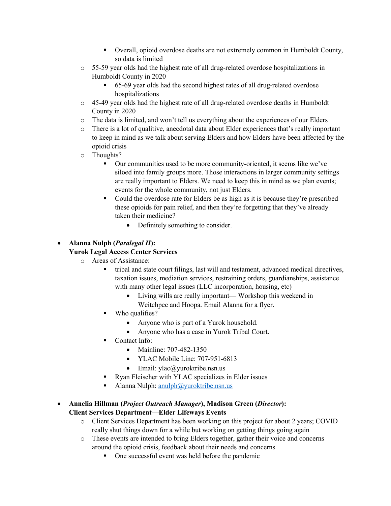- Overall, opioid overdose deaths are not extremely common in Humboldt County, so data is limited
- $\circ$  55-59 year olds had the highest rate of all drug-related overdose hospitalizations in Humboldt County in 2020
	- 65-69 year olds had the second highest rates of all drug-related overdose hospitalizations
- $\circ$  45-49 year olds had the highest rate of all drug-related overdose deaths in Humboldt County in 2020
- o The data is limited, and won't tell us everything about the experiences of our Elders
- o There is a lot of qualitive, anecdotal data about Elder experiences that's really important to keep in mind as we talk about serving Elders and how Elders have been affected by the opioid crisis
- $\circ$  Thoughts?
	- Our communities used to be more community-oriented, it seems like we've siloed into family groups more. Those interactions in larger community settings are really important to Elders. We need to keep this in mind as we plan events; events for the whole community, not just Elders.
	- Could the overdose rate for Elders be as high as it is because they're prescribed these opioids for pain relief, and then they're forgetting that they've already taken their medicine?
		- Definitely something to consider.

# • **Alanna Nulph (***Paralegal II***):**

#### **Yurok Legal Access Center Services**

- o Areas of Assistance:
	- tribal and state court filings, last will and testament, advanced medical directives, taxation issues, mediation services, restraining orders, guardianships, assistance with many other legal issues (LLC incorporation, housing, etc)
		- Living wills are really important— Workshop this weekend in
		- Weitchpec and Hoopa. Email Alanna for a flyer.
	- Who qualifies?
		- Anyone who is part of a Yurok household.
		- Anyone who has a case in Yurok Tribal Court.
	- Contact Info:
		- Mainline: 707-482-1350
		- YLAC Mobile Line: 707-951-6813
		- Email: ylac@yuroktribe.nsn.us
	- Ryan Fleischer with YLAC specializes in Elder issues
	- Alanna Nulph: [anulph@yuroktribe.nsn.us](mailto:anulph@yuroktribe.nsn.us)
- **Annelia Hillman (***Project Outreach Manager***), Madison Green (***Director***): Client Services Department—Elder Lifeways Events**
	- o Client Services Department has been working on this project for about 2 years; COVID really shut things down for a while but working on getting things going again
	- o These events are intended to bring Elders together, gather their voice and concerns around the opioid crisis, feedback about their needs and concerns
		- One successful event was held before the pandemic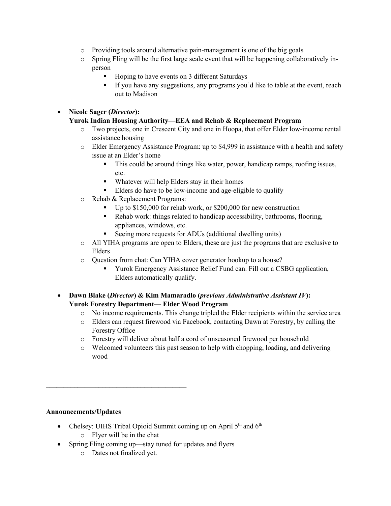- $\circ$  Providing tools around alternative pain-management is one of the big goals
- o Spring Fling will be the first large scale event that will be happening collaboratively inperson
	- Hoping to have events on 3 different Saturdays
	- If you have any suggestions, any programs you'd like to table at the event, reach out to Madison

# • **Nicole Sager (***Director***):**

# **Yurok Indian Housing Authority—EEA and Rehab & Replacement Program**

- o Two projects, one in Crescent City and one in Hoopa, that offer Elder low-income rental assistance housing
- o Elder Emergency Assistance Program: up to \$4,999 in assistance with a health and safety issue at an Elder's home
	- This could be around things like water, power, handicap ramps, roofing issues, etc.
	- Whatever will help Elders stay in their homes
	- Elders do have to be low-income and age-eligible to qualify
- o Rehab & Replacement Programs:
	- Up to \$150,000 for rehab work, or \$200,000 for new construction
	- Rehab work: things related to handicap accessibility, bathrooms, flooring, appliances, windows, etc.
	- Seeing more requests for ADUs (additional dwelling units)
- o All YIHA programs are open to Elders, these are just the programs that are exclusive to Elders
- o Question from chat: Can YIHA cover generator hookup to a house?
	- Yurok Emergency Assistance Relief Fund can. Fill out a CSBG application, Elders automatically qualify.
- **Dawn Blake (***Director***) & Kim Mamaradlo (***previous Administrative Assistant IV***): Yurok Forestry Department— Elder Wood Program**
	- o No income requirements. This change tripled the Elder recipients within the service area
	- o Elders can request firewood via Facebook, contacting Dawn at Forestry, by calling the Forestry Office
	- o Forestry will deliver about half a cord of unseasoned firewood per household
	- o Welcomed volunteers this past season to help with chopping, loading, and delivering wood

#### **Announcements/Updates**

- Chelsey: UIHS Tribal Opioid Summit coming up on April  $5<sup>th</sup>$  and  $6<sup>th</sup>$ 
	- o Flyer will be in the chat

 $\mathcal{L}_\text{max}$  , and the contract of the contract of the contract of the contract of the contract of the contract of the contract of the contract of the contract of the contract of the contract of the contract of the contr

- Spring Fling coming up—stay tuned for updates and flyers
	- o Dates not finalized yet.